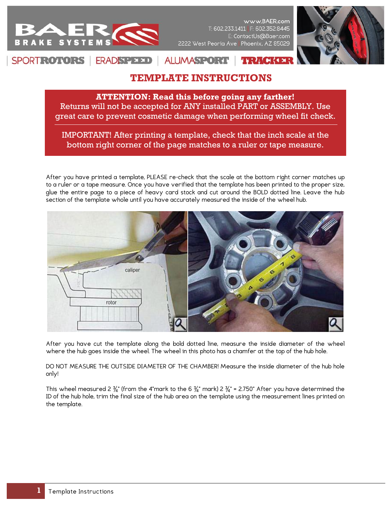

www.BAER.com T: 602.233.1411 | F: 602.352.8445 E: ContactUs@Baer.com 2222 West Peoria Ave Phoenix, AZ 85029



## SPORTROTORS **ERADSPEED ALUMASPORT**  $:$  I of (1)

## **TEMPLATE INSTRUCTIONS**

**ATTENTION: Read this before going any farther!** Returns will not be accepted for ANY installed PART or ASSEMBLY. Use great care to prevent cosmetic damage when performing wheel fit check.

IMPORTANT! After printing a template, check that the inch scale at the bottom right corner of the page matches to a ruler or tape measure.

After you have printed a template, PLEASE re-check that the scale at the bottom right corner matches up to a ruler or a tape measure. Once you have verified that the template has been printed to the proper size, glue the entire page to a piece of heavy card stock and cut around the BOLD dotted line. Leave the hub section of the template whole until you have accurately measured the inside of the wheel hub.



After you have cut the template along the bold dotted line, measure the inside diameter of the wheel where the hub goes inside the wheel. The wheel in this photo has a chamfer at the top of the hub hole.

DO NOT MEASURE THE OUTSIDE DIAMETER OF THE CHAMBER! Measure the inside diameter of the hub hole only!

This wheel measured 2  $\frac{3}{4}$ " (from the 4"mark to the 6  $\frac{3}{4}$ " mark) 2  $\frac{3}{4}$ " = 2.750" After you have determined the ID of the hub hole, trim the final size of the hub area on the template using the measurement lines printed on the template.